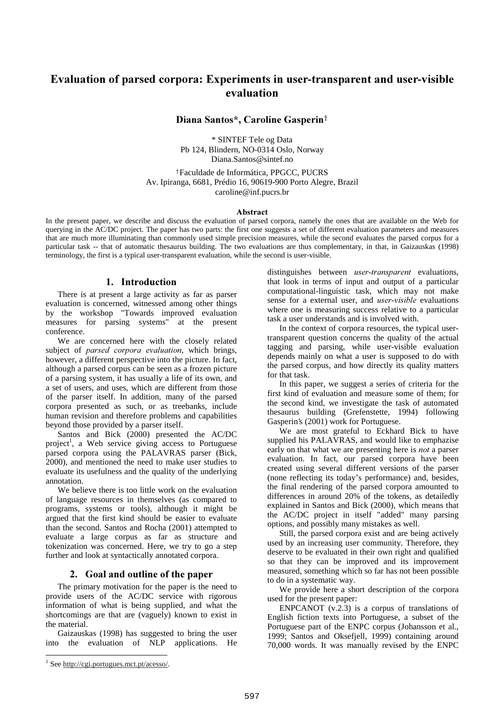# Evaluation of parsed corpora: Experiments in user-transparent and user-visible evaluation

### Diana Santos\*, Caroline Gasperin<sup>†</sup>

\* SINTEF Tele og Data Pb 124, Blindern, NO-0314 Oslo, Norway Diana.Santos@sintef.no

 Faculdade de Informática, PPGCC, PUCRS Av. Ipiranga, 6681, Prédio 16, 90619-900 Porto Alegre, Brazil caroline@inf.pucrs.br

#### Abstract

In the present paper, we describe and discuss the evaluation of parsed corpora, namely the ones that are available on the Web for querying in the AC/DC project. The paper has two parts: the first one suggests a set of different evaluation parameters and measures that are much more illuminating than commonly used simple precision measures, while the second evaluates the parsed corpus for a particular task -- that of automatic thesaurus building. The two evaluations are thus complementary, in that, in Gaizauskas (1998) terminology, the first is a typical user-transparent evaluation, while the second is user-visible.

# 1. Introduction

There is at present a large activity as far as parser evaluation is concerned, witnessed among other things by the workshop "Towards improved evaluation measures for parsing systems" at the present conference.

We are concerned here with the closely related subject of *parsed corpora evaluation*, which brings, however, a different perspective into the picture. In fact, although a parsed corpus can be seen as a frozen picture of a parsing system, it has usually a life of its own, and a set of users, and uses, which are different from those of the parser itself. In addition, many of the parsed corpora presented as such, or as treebanks, include human revision and therefore problems and capabilities beyond those provided by a parser itself.

Santos and Bick (2000) presented the AC/DC project<sup>1</sup>, a Web service giving access to Portuguese parsed corpora using the PALAVRAS parser (Bick, 2000), and mentioned the need to make user studies to evaluate its usefulness and the quality of the underlying annotation.

We believe there is too little work on the evaluation of language resources in themselves (as compared to programs, systems or tools), although it might be argued that the first kind should be easier to evaluate than the second. Santos and Rocha (2001) attempted to evaluate a large corpus as far as structure and tokenization was concerned. Here, we try to go a step further and look at syntactically annotated corpora.

# 2. Goal and outline of the paper

The primary motivation for the paper is the need to provide users of the AC/DC service with rigorous information of what is being supplied, and what the shortcomings are that are (vaguely) known to exist in the material.

Gaizauskas (1998) has suggested to bring the user into the evaluation of NLP applications. He distinguishes between *user-transparent* evaluations, that look in terms of input and output of a particular computational-linguistic task, which may not make sense for a external user, and *user-visible* evaluations where one is measuring success relative to a particular task a user understands and is involved with.

In the context of corpora resources, the typical usertransparent question concerns the quality of the actual tagging and parsing, while user-visible evaluation depends mainly on what a user is supposed to do with the parsed corpus, and how directly its quality matters for that task.

In this paper, we suggest a series of criteria for the first kind of evaluation and measure some of them; for the second kind, we investigate the task of automated thesaurus building (Grefenstette, 1994) following Gasperin's (2001) work for Portuguese.

We are most grateful to Eckhard Bick to have supplied his PALAVRAS, and would like to emphazise early on that what we are presenting here is *not* a parser evaluation. In fact, our parsed corpora have been created using several different versions of the parser (none reflecting its today's performance) and, besides, the final rendering of the parsed corpora amounted to differences in around 20% of the tokens, as detailedly explained in Santos and Bick (2000), which means that the AC/DC project in itself "added" many parsing options, and possibly many mistakes as well.

Still, the parsed corpora exist and are being actively used by an increasing user community. Therefore, they deserve to be evaluated in their own right and qualified so that they can be improved and its improvement measured, something which so far has not been possible to do in a systematic way.

We provide here a short description of the corpora used for the present paper:

ENPCANOT  $(v.2.3)$  is a corpus of translations of English fiction texts into Portuguese, a subset of the Portuguese part of the ENPC corpus (Johansson et al., 1999; Santos and Oksefjell, 1999) containing around 70,000 words. It was manually revised by the ENPC

<u>.</u>

<sup>&</sup>lt;sup>1</sup> See http://cgi.portugues.mct.pt/acesso/.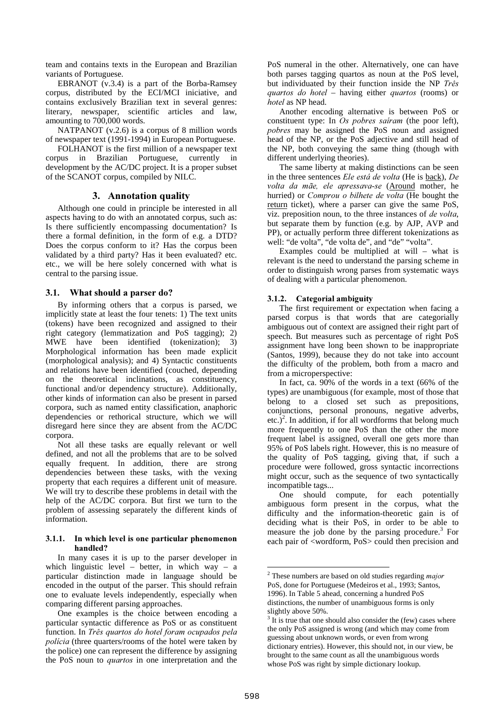team and contains texts in the European and Brazilian variants of Portuguese.

EBRANOT (v.3.4) is a part of the Borba-Ramsey corpus, distributed by the ECI/MCI iniciative, and contains exclusively Brazilian text in several genres: literary, newspaper, scientific articles and law, amounting to 700,000 words.

NATPANOT (v.2.6) is a corpus of 8 million words of newspaper text (1991-1994) in European Portuguese.

FOLHANOT is the first million of a newspaper text corpus in Brazilian Portuguese, currently in development by the AC/DC project. It is a proper subset of the SCANOT corpus, compiled by NILC.

# 3. Annotation quality

Although one could in principle be interested in all aspects having to do with an annotated corpus, such as: Is there sufficiently encompassing documentation? Is there a formal definition, in the form of e.g. a DTD? Does the corpus conform to it? Has the corpus been validated by a third party? Has it been evaluated? etc. etc., we will be here solely concerned with what is central to the parsing issue.

# 3.1. What should a parser do?

By informing others that a corpus is parsed, we implicitly state at least the four tenets: 1) The text units (tokens) have been recognized and assigned to their right category (lemmatization and PoS tagging); 2) MWE have been identified (tokenization); 3) Morphological information has been made explicit (morphological analysis); and 4) Syntactic constituents and relations have been identified (couched, depending on the theoretical inclinations, as constituency, functional and/or dependency structure). Additionally, other kinds of information can also be present in parsed corpora, such as named entity classification, anaphoric dependencies or rethorical structure, which we will disregard here since they are absent from the AC/DC corpora.

Not all these tasks are equally relevant or well defined, and not all the problems that are to be solved equally frequent. In addition, there are strong dependencies between these tasks, with the vexing property that each requires a different unit of measure. We will try to describe these problems in detail with the help of the AC/DC corpora. But first we turn to the problem of assessing separately the different kinds of information.

#### 3.1.1. In which level is one particular phenomenon handled?

In many cases it is up to the parser developer in which linguistic level – better, in which way – a particular distinction made in language should be encoded in the output of the parser. This should refrain one to evaluate levels independently, especially when comparing different parsing approaches.

One examples is the choice between encoding a particular syntactic difference as PoS or as constituent function. In Três quartos do hotel foram ocupados pela policia (three quarters/rooms of the hotel were taken by the police) one can represent the difference by assigning the PoS noun to *quartos* in one interpretation and the PoS numeral in the other. Alternatively, one can have both parses tagging quartos as noun at the PoS level, but individuated by their function inside the NP  $Tr\hat{e}s$  $quartos$  do hotel – having either *quartos* (rooms) or hotel as NP head.

Another encoding alternative is between PoS or constituent type: In  $Os$  pobres sairam (the poor left), pobres may be assigned the PoS noun and assigned head of the NP, or the PoS adjective and still head of the NP, both conveying the same thing (though with different underlying theories).

The same liberty at making distinctions can be seen in the three sentences *Ele está de volta* (He is back), *De* volta da mãe, ele apressava-se (Around mother, he hurried) or *Comprou o bilhete de volta* (He bought the return ticket), where a parser can give the same PoS, viz. preposition noun, to the three instances of  $de$  volta, but separate them by function (e.g. by AJP, AVP and PP), or actually perform three different tokenizations as well: "de volta", "de volta de", and "de" "volta".

Examples could be multiplied at will – what is relevant is the need to understand the parsing scheme in order to distinguish wrong parses from systematic ways of dealing with a particular phenomenon.

# 3.1.2. Categorial ambiguity

The first requirement or expectation when facing a parsed corpus is that words that are categorially ambiguous out of context are assigned their right part of speech. But measures such as percentage of right PoS assignment have long been shown to be inappropriate (Santos, 1999), because they do not take into account the difficulty of the problem, both from a macro and from a microperspective:

In fact, ca. 90% of the words in a text (66% of the types) are unambiguous (for example, most of those that belong to a closed set such as prepositions, conjunctions, personal pronouns, negative adverbs, etc.)<sup>2</sup>. In addition, if for all wordforms that belong much more frequently to one PoS than the other the more frequent label is assigned, overall one gets more than 95% of PoS labels right. However, this is no measure of the quality of PoS tagging, giving that, if such a procedure were followed, gross syntactic incorrections might occur, such as the sequence of two syntactically incompatible tags...

One should compute, for each potentially ambiguous form present in the corpus, what the difficulty and the information-theoretic gain is of deciding what is their PoS, in order to be able to measure the job done by the parsing procedure. 3 For each pair of <wordform, PoS> could then precision and

 $\overline{a}$ 

 $2$  These numbers are based on old studies regarding *major* PoS, done for Portuguese (Medeiros et al., 1993; Santos, 1996). In Table 5 ahead, concerning a hundred PoS distinctions, the number of unambiguous forms is only slightly above 50%.

 $3$  It is true that one should also consider the (few) cases where the only PoS assigned is wrong (and which may come from guessing about unknown words, or even from wrong dictionary entries). However, this should not, in our view, be brought to the same count as all the unambiguous words whose PoS was right by simple dictionary lookup.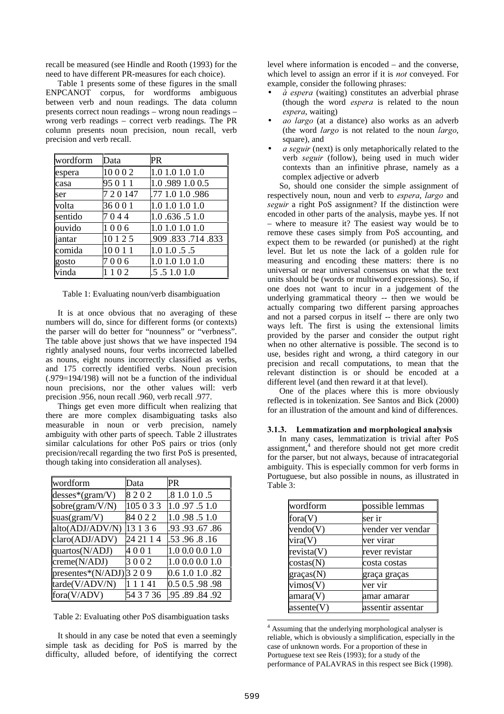recall be measured (see Hindle and Rooth (1993) for the need to have different PR-measures for each choice).

Table 1 presents some of these figures in the small ENPCANOT corpus, for wordforms ambiguous between verb and noun readings. The data column presents correct noun readings – wrong noun readings – wrong verb readings – correct verb readings. The PR column presents noun precision, noun recall, verb precision and verb recall.

| wordform | Data      | PR               |
|----------|-----------|------------------|
| espera   | 10002     | 1.0 1.0 1.0 1.0  |
| casa     | 95 0 1 1  | 1.0.989 1.0 0.5  |
| ser      | 7 2 0 147 | .77 1.0 1.0 .986 |
| volta    | 36001     | 1.0 1.0 1.0 1.0  |
| sentido  | 7044      | 1.0.636.51.0     |
| ouvido   | 1006      | 1.0 1.0 1.0 1.0  |
| iantar   | 10 1 2 5  | .909.833.714.833 |
| comida   | 10011     | 1.01.0.5.5       |
| gosto    | 7006      | 1.0 1.0 1.0 1.0  |
| vinda    | 1102      | .5 .5 1.0 1.0    |

Table 1: Evaluating noun/verb disambiguation

It is at once obvious that no averaging of these numbers will do, since for different forms (or contexts) the parser will do better for "nounness" or "verbness". The table above just shows that we have inspected 194 rightly analysed nouns, four verbs incorrected labelled as nouns, eight nouns incorrectly classified as verbs, and 175 correctly identified verbs. Noun precision (.979=194/198) will not be a function of the individual noun precisions, nor the other values will: verb precision .956, noun recall .960, verb recall .977.

Things get even more difficult when realizing that there are more complex disambiguating tasks also measurable in noun or verb precision, namely ambiguity with other parts of speech. Table 2 illustrates similar calculations for other PoS pairs or trios (only precision/recall regarding the two first PoS is presented, though taking into consideration all analyses).

| wordform                 | Data      | PR              |
|--------------------------|-----------|-----------------|
| $d$ esses*(gram/V)       | 8202      | .8 1.0 1.0 .5   |
| sobre(gram/V/N)          | 105 0 3 3 | 1.0.97.51.0     |
| suas( $gram/V$ )         | 84022     | 1.0.98.51.0     |
| alto(ADJ/ADV/N)          | 13 1 3 6  | .93.67.86       |
| claro(ADJ/ADV)           | 24 21 1 4 | .53.96.8.16     |
| quartos(N/ADJ)           | 4001      | 1.0 0.0 0.0 1.0 |
| creme(N/ADJ)             | 3002      | 1.0 0.0 0.0 1.0 |
| presentes*(N/ADJ) $3209$ |           | 0.6 1.0 1.0 .82 |
| tarde(V/ADV/N)           | 1141      | 0.5 0.5 .98 .98 |
| fora(V/ADV)              | 54 3 7 36 | .95 .89 .84 .92 |

Table 2: Evaluating other PoS disambiguation tasks

It should in any case be noted that even a seemingly simple task as deciding for PoS is marred by the difficulty, alluded before, of identifying the correct level where information is encoded – and the converse, which level to assign an error if it is *not* conveyed. For example, consider the following phrases:

- $\dot{a}$  espera (waiting) constitutes an adverbial phrase (though the word *espera* is related to the noun espera, waiting)
- ao largo (at a distance) also works as an adverb (the word  $largo$  is not related to the noun  $largo$ , square), and
- $a$  seguir (next) is only metaphorically related to the verb seguir (follow), being used in much wider contexts than an infinitive phrase, namely as a complex adjective or adverb

So, should one consider the simple assignment of respectively noun, noun and verb to *espera*, *largo* and seguir a right PoS assignment? If the distinction were encoded in other parts of the analysis, maybe yes. If not – where to measure it? The easiest way would be to remove these cases simply from PoS accounting, and expect them to be rewarded (or punished) at the right level. But let us note the lack of a golden rule for measuring and encoding these matters: there is no universal or near universal consensus on what the text units should be (words or multiword expressions). So, if one does not want to incur in a judgement of the underlying grammatical theory -- then we would be actually comparing two different parsing approaches and not a parsed corpus in itself -- there are only two ways left. The first is using the extensional limits provided by the parser and consider the output right when no other alternative is possible. The second is to use, besides right and wrong, a third category in our precision and recall computations, to mean that the relevant distinction is or should be encoded at a different level (and then reward it at that level).

One of the places where this is more obviously reflected is in tokenization. See Santos and Bick (2000) for an illustration of the amount and kind of differences.

#### 3.1.3. Lemmatization and morphological analysis

In many cases, lemmatization is trivial after PoS assignment,<sup>4</sup> and therefore should not get more credit for the parser, but not always, because of intracategorial ambiguity. This is especially common for verb forms in Portuguese, but also possible in nouns, as illustrated in Table 3:

| wordform                  | possible lemmas   |
|---------------------------|-------------------|
| fora $(V)$                | ser ir            |
| $\text{vendo}(V)$         | vender ver vendar |
| vira(V)                   | ver virar         |
| revista(V)                | rever revistar    |
| $\cos\theta(N)$           | costa costas      |
| gracas(N)                 | graça graças      |
| $\forall$ vimos(V)        | ver vir           |
| $\text{amara}(V)$         | 'amar amarar      |
| $\parallel$ assente $(V)$ | assentir assentar |

 $\overline{a}$ <sup>4</sup> Assuming that the underlying morphological analyser is reliable, which is obviously a simplification, especially in the case of unknown words. For a proportion of these in Portuguese text see Reis (1993); for a study of the performance of PALAVRAS in this respect see Bick (1998).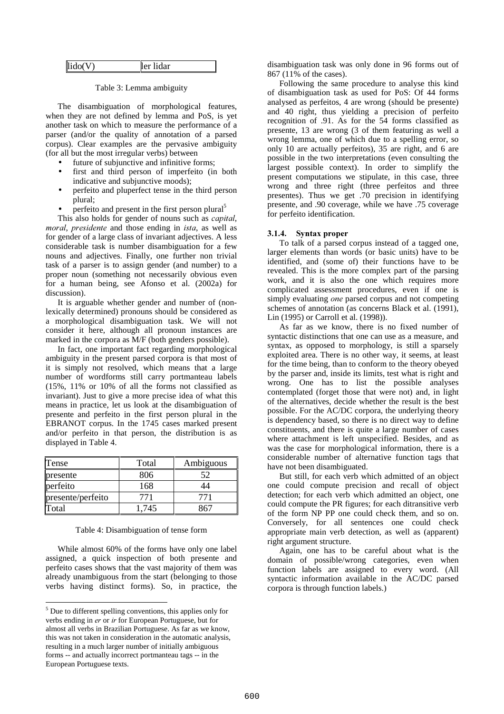| lido(V) | lidar<br>ler |
|---------|--------------|
|---------|--------------|

Table 3: Lemma ambiguity

The disambiguation of morphological features, when they are not defined by lemma and PoS, is yet another task on which to measure the performance of a parser (and/or the quality of annotation of a parsed corpus). Clear examples are the pervasive ambiguity (for all but the most irregular verbs) between

- future of subjunctive and infinitive forms;
- first and third person of imperfeito (in both indicative and subjunctive moods);
- perfeito and pluperfect tense in the third person plural;
- perfeito and present in the first person plural<sup>5</sup>

This also holds for gender of nouns such as *capital*, moral, presidente and those ending in *ista*, as well as for gender of a large class of invariant adjectives. A less considerable task is number disambiguation for a few nouns and adjectives. Finally, one further non trivial task of a parser is to assign gender (and number) to a proper noun (something not necessarily obvious even for a human being, see Afonso et al. (2002a) for discussion).

It is arguable whether gender and number of (nonlexically determined) pronouns should be considered as a morphological disambiguation task. We will not consider it here, although all pronoun instances are marked in the corpora as M/F (both genders possible).

In fact, one important fact regarding morphological ambiguity in the present parsed corpora is that most of it is simply not resolved, which means that a large number of wordforms still carry portmanteau labels (15%, 11% or 10% of all the forms not classified as invariant). Just to give a more precise idea of what this means in practice, let us look at the disambiguation of presente and perfeito in the first person plural in the EBRANOT corpus. In the 1745 cases marked present and/or perfeito in that person, the distribution is as displayed in Table 4.

| Tense             | Total | Ambiguous |
|-------------------|-------|-----------|
| presente          | 806   | 52        |
| perfeito          | 168   | 14        |
| presente/perfeito | 771   | 771       |
| Total             | 1,745 | -26       |

#### Table 4: Disambiguation of tense form

While almost 60% of the forms have only one label assigned, a quick inspection of both presente and perfeito cases shows that the vast majority of them was already unambiguous from the start (belonging to those verbs having distinct forms). So, in practice, the

<u>.</u>

disambiguation task was only done in 96 forms out of 867 (11% of the cases).

Following the same procedure to analyse this kind of disambiguation task as used for PoS: Of 44 forms analysed as perfeitos, 4 are wrong (should be presente) and 40 right, thus yielding a precision of perfeito recognition of .91. As for the 54 forms classified as presente, 13 are wrong (3 of them featuring as well a wrong lemma, one of which due to a spelling error, so only 10 are actually perfeitos), 35 are right, and 6 are possible in the two interpretations (even consulting the largest possible context). In order to simplify the present computations we stipulate, in this case, three wrong and three right (three perfeitos and three presentes). Thus we get .70 precision in identifying presente, and .90 coverage, while we have .75 coverage for perfeito identification.

#### 3.1.4. Syntax proper

To talk of a parsed corpus instead of a tagged one, larger elements than words (or basic units) have to be identified, and (some of) their functions have to be revealed. This is the more complex part of the parsing work, and it is also the one which requires more complicated assessment procedures, even if one is simply evaluating *one* parsed corpus and not competing schemes of annotation (as concerns Black et al. (1991), Lin (1995) or Carroll et al. (1998)).

As far as we know, there is no fixed number of syntactic distinctions that one can use as a measure, and syntax, as opposed to morphology, is still a sparsely exploited area. There is no other way, it seems, at least for the time being, than to conform to the theory obeyed by the parser and, inside its limits, test what is right and wrong. One has to list the possible analyses contemplated (forget those that were not) and, in light of the alternatives, decide whether the result is the best possible. For the AC/DC corpora, the underlying theory is dependency based, so there is no direct way to define constituents, and there is quite a large number of cases where attachment is left unspecified. Besides, and as was the case for morphological information, there is a considerable number of alternative function tags that have not been disambiguated.

But still, for each verb which admitted of an object one could compute precision and recall of object detection; for each verb which admitted an object, one could compute the PR figures; for each ditransitive verb of the form NP PP one could check them, and so on. Conversely, for all sentences one could check appropriate main verb detection, as well as (apparent) right argument structure.

Again, one has to be careful about what is the domain of possible/wrong categories, even when function labels are assigned to every word. (All syntactic information available in the AC/DC parsed corpora is through function labels.)

<sup>5</sup> Due to different spelling conventions, this applies only for verbs ending in er or ir for European Portuguese, but for almost all verbs in Brazilian Portuguese. As far as we know, this was not taken in consideration in the automatic analysis, resulting in a much larger number of initially ambiguous forms -- and actually incorrect portmanteau tags -- in the European Portuguese texts.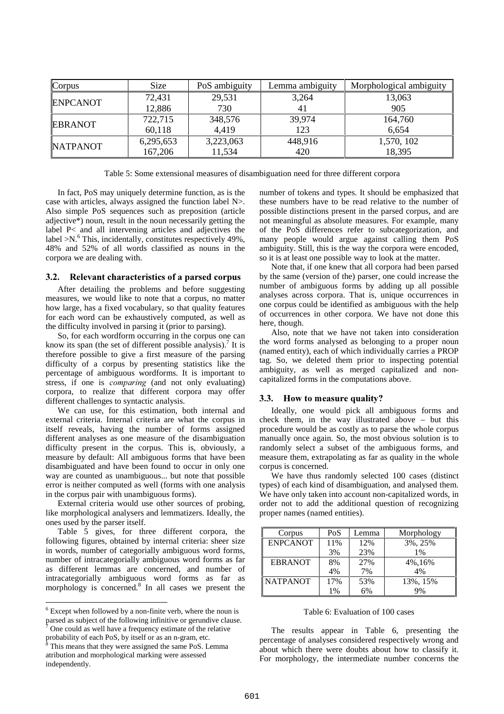| Corpus          | <b>Size</b> | PoS ambiguity | Lemma ambiguity | Morphological ambiguity |
|-----------------|-------------|---------------|-----------------|-------------------------|
| <b>ENPCANOT</b> | 72,431      | 29,531        | 3,264           | 13,063                  |
|                 | 12,886      | 730           | 4 <sub>1</sub>  | 905                     |
| <b>EBRANOT</b>  | 722,715     | 348,576       | 39,974          | 164,760                 |
|                 | 60,118      | 4,419         | 123             | 6,654                   |
| <b>NATPANOT</b> | 6,295,653   | 3,223,063     | 448,916         | 1,570, 102              |
|                 | 167,206     | 11,534        | 420             | 18,395                  |

Table 5: Some extensional measures of disambiguation need for three different corpora

In fact, PoS may uniquely determine function, as is the case with articles, always assigned the function label N>. Also simple PoS sequences such as preposition (article adjective\*) noun, result in the noun necessarily getting the label P< and all intervening articles and adjectives the label >N. <sup>6</sup> This, incidentally, constitutes respectively 49%, 48% and 52% of all words classified as nouns in the corpora we are dealing with.

### 3.2. Relevant characteristics of a parsed corpus

After detailing the problems and before suggesting measures, we would like to note that a corpus, no matter how large, has a fixed vocabulary, so that quality features for each word can be exhaustively computed, as well as the difficulty involved in parsing it (prior to parsing).

So, for each wordform occurring in the corpus one can know its span (the set of different possible analysis).<sup>7</sup> It is therefore possible to give a first measure of the parsing difficulty of a corpus by presenting statistics like the percentage of ambiguous wordforms. It is important to stress, if one is *comparing* (and not only evaluating) corpora, to realize that different corpora may offer different challenges to syntactic analysis.

We can use, for this estimation, both internal and external criteria. Internal criteria are what the corpus in itself reveals, having the number of forms assigned different analyses as one measure of the disambiguation difficulty present in the corpus. This is, obviously, a measure by default: All ambiguous forms that have been disambiguated and have been found to occur in only one way are counted as unambiguous... but note that possible error is neither computed as well (forms with one analysis in the corpus pair with unambiguous forms).

External criteria would use other sources of probing, like morphological analysers and lemmatizers. Ideally, the ones used by the parser itself.

Table 5 gives, for three different corpora, the following figures, obtained by internal criteria: sheer size in words, number of categorially ambiguous word forms, number of intracategorially ambiguous word forms as far as different lemmas are concerned, and number of intracategorially ambiguous word forms as far as morphology is concerned.<sup>8</sup> In all cases we present the

<u>.</u>

number of tokens and types. It should be emphasized that these numbers have to be read relative to the number of possible distinctions present in the parsed corpus, and are not meaningful as absolute measures. For example, many of the PoS differences refer to subcategorization, and many people would argue against calling them PoS ambiguity. Still, this is the way the corpora were encoded, so it is at least one possible way to look at the matter.

Note that, if one knew that all corpora had been parsed by the same (version of the) parser, one could increase the number of ambiguous forms by adding up all possible analyses across corpora. That is, unique occurrences in one corpus could be identified as ambiguous with the help of occurrences in other corpora. We have not done this here, though.

Also, note that we have not taken into consideration the word forms analysed as belonging to a proper noun (named entity), each of which individually carries a PROP tag. So, we deleted them prior to inspecting potential ambiguity, as well as merged capitalized and noncapitalized forms in the computations above.

# 3.3. How to measure quality?

Ideally, one would pick all ambiguous forms and check them, in the way illustrated above – but this procedure would be as costly as to parse the whole corpus manually once again. So, the most obvious solution is to randomly select a subset of the ambiguous forms, and measure them, extrapolating as far as quality in the whole corpus is concerned.

We have thus randomly selected 100 cases (distinct types) of each kind of disambiguation, and analysed them. We have only taken into account non-capitalized words, in order not to add the additional question of recognizing proper names (named entities).

| Corpus          | PoS | Lemma | Morphology |
|-----------------|-----|-------|------------|
| <b>ENPCANOT</b> | 11% | 12%   | 3%, 25%    |
|                 | 3%  | 23%   | 1%         |
| <b>EBRANOT</b>  | 8%  | 27%   | 4%,16%     |
|                 | 4%  | 7%    | 4%         |
| <b>NATPANOT</b> | 17% | 53%   | 13%, 15%   |
|                 | 1%  | 6%    | 9%         |

#### Table 6: Evaluation of 100 cases

The results appear in Table 6, presenting the percentage of analyses considered respectively wrong and about which there were doubts about how to classify it. For morphology, the intermediate number concerns the

<sup>6</sup> Except when followed by a non-finite verb, where the noun is parsed as subject of the following infinitive or gerundive clause.

One could as well have a frequency estimate of the relative probability of each PoS, by itself or as an n-gram, etc.

This means that they were assigned the same PoS. Lemma atribution and morphological marking were assessed independently.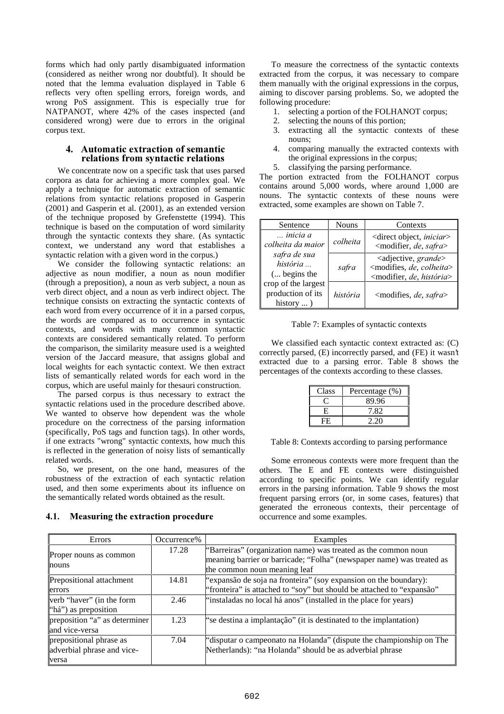forms which had only partly disambiguated information (considered as neither wrong nor doubtful). It should be noted that the lemma evaluation displayed in Table 6 reflects very often spelling errors, foreign words, and wrong PoS assignment. This is especially true for NATPANOT, where 42% of the cases inspected (and considered wrong) were due to errors in the original corpus text.

### 4. Automatic extraction of semantic relations from syntactic relations

We concentrate now on a specific task that uses parsed corpora as data for achieving a more complex goal. We apply a technique for automatic extraction of semantic relations from syntactic relations proposed in Gasperin (2001) and Gasperin et al. (2001), as an extended version of the technique proposed by Grefenstette (1994). This technique is based on the computation of word similarity through the syntactic contexts they share. (As syntactic context, we understand any word that establishes a syntactic relation with a given word in the corpus.)

We consider the following syntactic relations: an adjective as noun modifier, a noun as noun modifier (through a preposition), a noun as verb subject, a noun as verb direct object, and a noun as verb indirect object. The technique consists on extracting the syntactic contexts of each word from every occurrence of it in a parsed corpus, the words are compared as to occurrence in syntactic contexts, and words with many common syntactic contexts are considered semantically related. To perform the comparison, the similarity measure used is a weighted version of the Jaccard measure, that assigns global and local weights for each syntactic context. We then extract lists of semantically related words for each word in the corpus, which are useful mainly for thesauri construction.

The parsed corpus is thus necessary to extract the syntactic relations used in the procedure described above. We wanted to observe how dependent was the whole procedure on the correctness of the parsing information (specifically, PoS tags and function tags). In other words, if one extracts "wrong" syntactic contexts, how much this is reflected in the generation of noisy lists of semantically related words.

So, we present, on the one hand, measures of the robustness of the extraction of each syntactic relation used, and then some experiments about its influence on the semantically related words obtained as the result.

# 4.1. Measuring the extraction procedure

To measure the correctness of the syntactic contexts extracted from the corpus, it was necessary to compare them manually with the original expressions in the corpus, aiming to discover parsing problems. So, we adopted the following procedure:

- 1. selecting a portion of the FOLHANOT corpus;
- 2. selecting the nouns of this portion;
- 3. extracting all the syntactic contexts of these nouns;
- 4. comparing manually the extracted contexts with the original expressions in the corpus;
- 5. classifying the parsing performance.

The portion extracted from the FOLHANOT corpus contains around 5,000 words, where around 1,000 are nouns. The syntactic contexts of these nouns were extracted, some examples are shown on Table 7.

| Sentence                                                      | <b>Nouns</b> | Contexts                                                                                                                          |
|---------------------------------------------------------------|--------------|-----------------------------------------------------------------------------------------------------------------------------------|
| inicia a<br>colheita da maior                                 | colheita     | <direct <i="" object,="">iniciar&gt;<br/><modifier, de,="" safra=""></modifier,></direct>                                         |
| safra de sua<br>história<br>( begins the                      | safra        | <adjective, grande=""><br/><modifies, colheita="" de,=""><br/><modifier, de,="" história=""></modifier,></modifies,></adjective,> |
| crop of the largest<br>production of its<br>history $\dots$ ) | história     | <modifies, <i="">de, <i>safra</i>&gt;</modifies,>                                                                                 |

Table 7: Examples of syntactic contexts

We classified each syntactic context extracted as: (C) correctly parsed, (E) incorrectly parsed, and (FE) it wasn't extracted due to a parsing error. Table 8 shows the percentages of the contexts according to these classes.

| Class | Percentage (%) |
|-------|----------------|
|       | 89.96          |
| Н.    | 7.82           |
| FE.   | 2.20           |

Table 8: Contexts according to parsing performance

Some erroneous contexts were more frequent than the others. The E and FE contexts were distinguished according to specific points. We can identify regular errors in the parsing information. Table 9 shows the most frequent parsing errors (or, in some cases, features) that generated the erroneous contexts, their percentage of occurrence and some examples.

| Errors                                                         | Occurrence% | Examples                                                                                                                                                                |
|----------------------------------------------------------------|-------------|-------------------------------------------------------------------------------------------------------------------------------------------------------------------------|
| Proper nouns as common<br>nouns                                | 17.28       | "Barreiras" (organization name) was treated as the common noun<br>meaning barrier or barricade; "Folha" (newspaper name) was treated as<br>the common noun meaning leaf |
| Prepositional attachment<br>errors                             | 14.81       | "expansão de soja na fronteira" (soy expansion on the boundary):<br>"fronteira" is attached to "soy" but should be attached to "expansão"                               |
| verb "haver" (in the form<br>"há") as preposition              | 2.46        | "instaladas no local há anos" (installed in the place for years)                                                                                                        |
| preposition "a" as determiner<br>and vice-versa                | 1.23        | "se destina a implantação" (it is destinated to the implantation)                                                                                                       |
| prepositional phrase as<br>adverbial phrase and vice-<br>versa | 7.04        | "disputar o campeonato na Holanda" (dispute the championship on The<br>Netherlands): "na Holanda" should be as adverbial phrase                                         |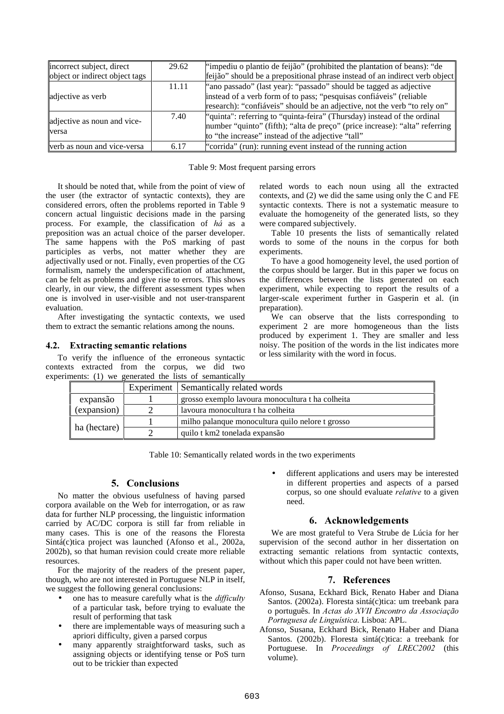| incorrect subject, direct      | 29.62 | "impediu o plantio de feijão" (prohibited the plantation of beans): "de     |
|--------------------------------|-------|-----------------------------------------------------------------------------|
| object or indirect object tags |       | feijão" should be a prepositional phrase instead of an indirect verb object |
|                                | 11.11 | "ano passado" (last year): "passado" should be tagged as adjective          |
| adjective as verb              |       | instead of a verb form of to pass; "pesquisas confiáveis" (reliable         |
|                                |       | research): "confiáveis" should be an adjective, not the verb "to rely on"   |
|                                | 7.40  |                                                                             |
| adjective as noun and vice-    |       | number "quinto" (fifth); "alta de preço" (price increase): "alta" referring |
| <b>versa</b>                   |       | to "the increase" instead of the adjective "tall"                           |
| verb as noun and vice-versa    | 6.17  | "corrida" (run): running event instead of the running action                |

Table 9: Most frequent parsing errors

It should be noted that, while from the point of view of the user (the extractor of syntactic contexts), they are considered errors, often the problems reported in Table 9 concern actual linguistic decisions made in the parsing process. For example, the classification of  $h\dot{a}$  as a preposition was an actual choice of the parser developer. The same happens with the PoS marking of past participles as verbs, not matter whether they are adjectivally used or not. Finally, even properties of the CG formalism, namely the underspecification of attachment, can be felt as problems and give rise to errors. This shows clearly, in our view, the different assessment types when one is involved in user-visible and not user-transparent evaluation.

After investigating the syntactic contexts, we used them to extract the semantic relations among the nouns.

# 4.2. Extracting semantic relations

To verify the influence of the erroneous syntactic contexts extracted from the corpus, we did two experiments: (1) we generated the lists of semantically

related words to each noun using all the extracted contexts, and (2) we did the same using only the C and FE syntactic contexts. There is not a systematic measure to evaluate the homogeneity of the generated lists, so they were compared subjectively.

Table 10 presents the lists of semantically related words to some of the nouns in the corpus for both experiments.

To have a good homogeneity level, the used portion of the corpus should be larger. But in this paper we focus on the differences between the lists generated on each experiment, while expecting to report the results of a larger-scale experiment further in Gasperin et al. (in preparation).

We can observe that the lists corresponding to experiment 2 are more homogeneous than the lists produced by experiment 1. They are smaller and less noisy. The position of the words in the list indicates more or less similarity with the word in focus.

| ICIILO. (1)<br>we generated the hots of scinamically |  |                                                  |  |
|------------------------------------------------------|--|--------------------------------------------------|--|
|                                                      |  | Experiment Semantically related words            |  |
| expansão                                             |  | grosso exemplo lavoura monocultura t ha colheita |  |
| (expansion)                                          |  | lavoura monocultura t ha colheita                |  |
| ha (hectare)                                         |  | milho palanque monocultura quilo nelore t grosso |  |
|                                                      |  | quilo t km2 tonelada expansão                    |  |

Table 10: Semantically related words in the two experiments

# 5. Conclusions

No matter the obvious usefulness of having parsed corpora available on the Web for interrogation, or as raw data for further NLP processing, the linguistic information carried by AC/DC corpora is still far from reliable in many cases. This is one of the reasons the Floresta Sintá(c)tica project was launched (Afonso et al., 2002a, 2002b), so that human revision could create more reliable resources.

For the majority of the readers of the present paper, though, who are not interested in Portuguese NLP in itself, we suggest the following general conclusions:

- one has to measure carefully what is the *difficulty* of a particular task, before trying to evaluate the result of performing that task
- there are implementable ways of measuring such a apriori difficulty, given a parsed corpus
- many apparently straightforward tasks, such as assigning objects or identifying tense or PoS turn out to be trickier than expected

different applications and users may be interested in different properties and aspects of a parsed corpus, so one should evaluate *relative* to a given need.

# 6. Acknowledgements

We are most grateful to Vera Strube de Lúcia for her supervision of the second author in her dissertation on extracting semantic relations from syntactic contexts, without which this paper could not have been written.

# 7. References

- Afonso, Susana, Eckhard Bick, Renato Haber and Diana Santos. (2002a). Floresta sintá(c)tica: um treebank para o português. In Actas do XVII Encontro da Associação Portuguesa de Linguística. Lisboa: APL.
- Afonso, Susana, Eckhard Bick, Renato Haber and Diana Santos. (2002b). Floresta sintá(c)tica: a treebank for Portuguese. In *Proceedings of LREC2002* (this volume).